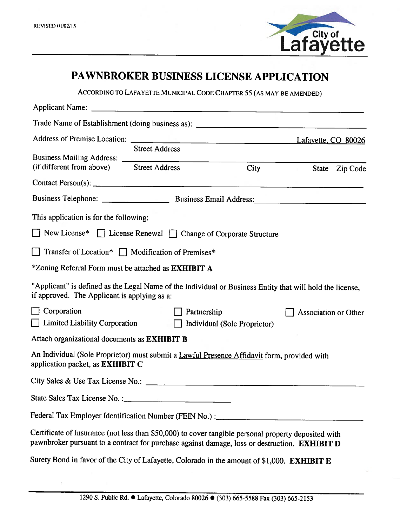

# PAWNBROKER BUSINESS LICENSE APPLICATION

ACCORDING TO LAFAYETTE MUNICIPAL CODE CHAPTER 55 (AS MAY BE AMENDED)

|                                                                                                                                                                                                              |                       |             |                              |                | Lafayette, CO 80026  |  |
|--------------------------------------------------------------------------------------------------------------------------------------------------------------------------------------------------------------|-----------------------|-------------|------------------------------|----------------|----------------------|--|
| (if different from above) Street Address                                                                                                                                                                     | <b>Street Address</b> |             | City                         | State Zip Code |                      |  |
| Contact Person(s): $\qquad \qquad \qquad$                                                                                                                                                                    |                       |             |                              |                |                      |  |
|                                                                                                                                                                                                              |                       |             |                              |                |                      |  |
| This application is for the following:                                                                                                                                                                       |                       |             |                              |                |                      |  |
| $\Box$ New License* $\Box$ License Renewal $\Box$ Change of Corporate Structure                                                                                                                              |                       |             |                              |                |                      |  |
| Transfer of Location* □ Modification of Premises*                                                                                                                                                            |                       |             |                              |                |                      |  |
| *Zoning Referral Form must be attached as <b>EXHIBIT</b> A                                                                                                                                                   |                       |             |                              |                |                      |  |
| "Applicant" is defined as the Legal Name of the Individual or Business Entity that will hold the license,<br>if approved. The Applicant is applying as a:                                                    |                       |             |                              |                |                      |  |
| Corporation<br>$\Box$ Limited Liability Corporation                                                                                                                                                          | $\perp$               | Partnership | Individual (Sole Proprietor) |                | Association or Other |  |
| Attach organizational documents as EXHIBIT B                                                                                                                                                                 |                       |             |                              |                |                      |  |
| An Individual (Sole Proprietor) must submit a Lawful Presence Affidavit form, provided with<br>application packet, as <b>EXHIBIT</b> C                                                                       |                       |             |                              |                |                      |  |
| City Sales & Use Tax License No.: \[\]                                                                                                                                                                       |                       |             |                              |                |                      |  |
|                                                                                                                                                                                                              |                       |             |                              |                |                      |  |
| Federal Tax Employer Identification Number (FEIN No.) : _________________________                                                                                                                            |                       |             |                              |                |                      |  |
| Certificate of Insurance (not less than \$50,000) to cover tangible personal property deposited with<br>pawnbroker pursuant to a contract for purchase against damage, loss or destruction. <b>EXHIBIT D</b> |                       |             |                              |                |                      |  |
| Surety Bond in favor of the City of Lafayette, Colorado in the amount of \$1,000. EXHIBIT E                                                                                                                  |                       |             |                              |                |                      |  |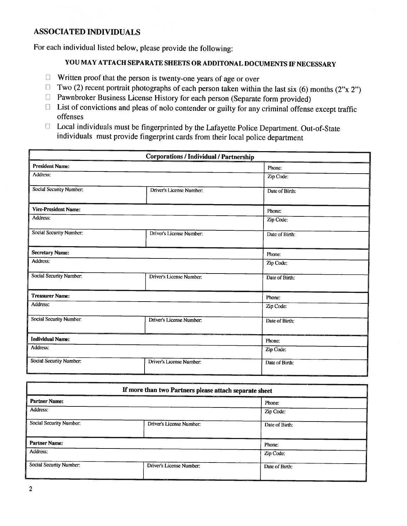#### **ASSOCIATED INDIVIDUALS**

For each individual listed below, please provide the following:

## YOU MAY ATTACH SEPARATE SHEETS OR ADDITONAL DOCUMENTS IF NECESSARY

- $\Box$  Written proof that the person is twenty-one years of age or over
- $\Box$  Two (2) recent portrait photographs of each person taken within the last six (6) months (2"x 2")
- **D** Pawnbroker Business License History for each person (Separate form provided)
- $\Box$  List of convictions and pleas of nolo contender or guilty for any criminal offense except traffic offenses
- □ Local individuals must be fingerprinted by the Lafayette Police Department. Out-of-State individuals must provide fingerprint cards from their local police department

| <b>Corporations / Individual / Partnership</b> |                          |                |  |  |
|------------------------------------------------|--------------------------|----------------|--|--|
| <b>President Name:</b>                         |                          | Phone:         |  |  |
| Address:                                       |                          | Zip Code:      |  |  |
| Social Security Number:                        | Driver's License Number: | Date of Birth: |  |  |
| <b>Vice-President Name:</b>                    |                          | Phone:         |  |  |
| Address:                                       |                          | Zip Code:      |  |  |
| <b>Social Security Number:</b>                 | Driver's License Number: | Date of Birth: |  |  |
| <b>Secretary Name:</b>                         |                          | Phone:         |  |  |
| Address:                                       |                          | Zip Code:      |  |  |
| Social Security Number:                        | Driver's License Number: | Date of Birth: |  |  |
| <b>Treasurer Name:</b>                         |                          | Phone:         |  |  |
| <b>Address:</b>                                |                          | Zip Code:      |  |  |
| Social Security Number:                        | Driver's License Number: | Date of Birth: |  |  |
| <b>Individual Name:</b>                        |                          | Phone:         |  |  |
| Address:                                       |                          | Zip Code:      |  |  |
| Social Security Number:                        | Driver's License Number: | Date of Birth: |  |  |

| If more than two Partners please attach separate sheet |                          |                |  |  |
|--------------------------------------------------------|--------------------------|----------------|--|--|
| <b>Partner Name:</b>                                   |                          | Phone:         |  |  |
| Address:                                               |                          | Zip Code:      |  |  |
| Social Security Number:                                | Driver's License Number: | Date of Birth: |  |  |
| <b>Partner Name:</b>                                   |                          | Phone:         |  |  |
| Address:                                               |                          | Zip Code:      |  |  |
| Social Security Number:                                | Driver's License Number: | Date of Birth: |  |  |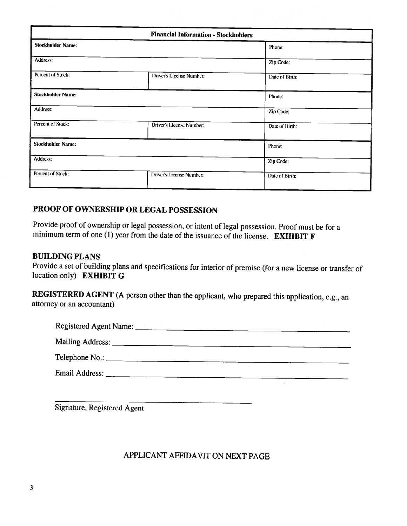|                          | Phone:         |  |
|--------------------------|----------------|--|
|                          | Zip Code:      |  |
| Driver's License Number. | Date of Birth: |  |
|                          | Phone:         |  |
|                          | Zip Code:      |  |
| Driver's License Number: | Date of Birth: |  |
|                          | Phone:         |  |
|                          | Zip Code:      |  |
| Driver's License Number: | Date of Birth: |  |
|                          |                |  |

### PROOF OF OWNERSHIP OR LEGAL POSSESSION

Provide proof of ownership or legal possession, or intent of legal possession. Proof must be for a minimum term of one (1) year from the date of the issuance of the license. **EXHIBIT F** 

#### **BUILDING PLANS**

Provide a set of building plans and specifications for interior of premise (for a new license or transfer of location only) EXHIBIT G

REGISTERED AGENT (A person other than the applicant, who prepared this application, e.g., an attorney or an accountant)

| Registered Agent Name: |  |
|------------------------|--|
|                        |  |
|                        |  |
| Email Address:         |  |

Signature, Registered Agent

### APPLICANT AFFIDAVIT ON NEXT PAGE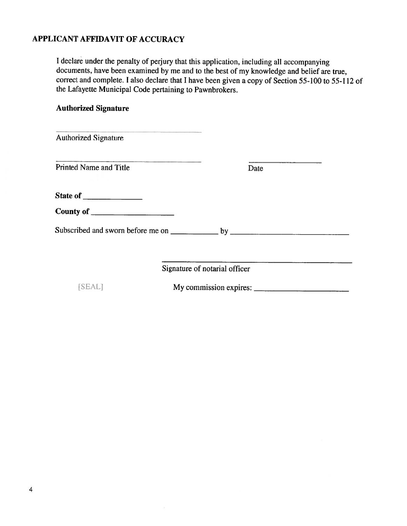### APPLICANT AFFIDAVIT OF ACCURACY

<sup>I</sup> declare under the penalty of perjury that this application, including all accompanying documents, have been examined by me and to the best of my knowledge and belief are true, correct and complete. <sup>I</sup> also declare that <sup>I</sup> have been <sup>g</sup>iven <sup>a</sup> copy of Section 55-100 to 55-1 <sup>12</sup> of the Lafayette Municipal Code pertaining to Pawnbrokers.

#### Authorized Signature

| the party of the property of the second control of the control of the control of the control of<br><b>Authorized Signature</b> |                               |
|--------------------------------------------------------------------------------------------------------------------------------|-------------------------------|
| <b>Printed Name and Title</b>                                                                                                  | Date                          |
|                                                                                                                                |                               |
|                                                                                                                                |                               |
|                                                                                                                                |                               |
|                                                                                                                                | Signature of notarial officer |
| <b>SEAL1</b>                                                                                                                   |                               |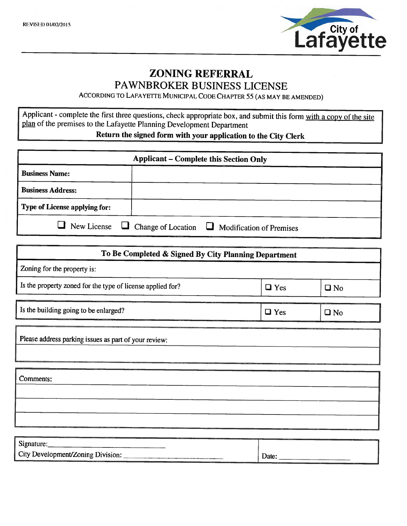

## ZONING REFERRAL PAWNBROKER BUSINESS LICENSE

ACCORDING TO LAFAYETTE MUNICIPAL CODE CHAPTER 55 (AS MAY BE AMENDED)

Applicant - complete the first three questions, check appropriate box, and submit this form with a copy of the site plan of the premises to the Lafayette Planning Development Department Return the signed form with your application to the City Clerk

| <b>Applicant – Complete this Section Only</b> |  |                                                                              |  |
|-----------------------------------------------|--|------------------------------------------------------------------------------|--|
| <b>Business Name:</b>                         |  |                                                                              |  |
| <b>Business Address:</b>                      |  |                                                                              |  |
| <b>Type of License applying for:</b>          |  |                                                                              |  |
|                                               |  | $\Box$ New License $\Box$ Change of Location $\Box$ Modification of Premises |  |

| To Be Completed & Signed By City Planning Department       |            |              |
|------------------------------------------------------------|------------|--------------|
| Zoning for the property is:                                |            |              |
| Is the property zoned for the type of license applied for? | $\Box$ Yes | $\square$ No |
| Is the building going to be enlarged?                      | $\Box$ Yes | $\square$ No |
| Please address parking issues as part of your review:      |            |              |
| Comments:                                                  |            |              |
|                                                            |            |              |
| Signature:                                                 |            |              |
| City Development/Zoning Division:                          | Date:      |              |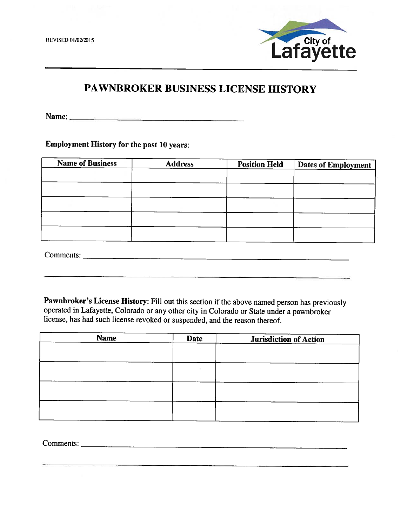**REVISED 01/02/2015** 



# PAWNBROKER BUSINESS LICENSE HISTORY

**Employment History for the past 10 years:** 

| <b>Name of Business</b><br><b>Address</b> |  | <b>Position Held</b> | <b>Dates of Employment</b> |  |  |
|-------------------------------------------|--|----------------------|----------------------------|--|--|
|                                           |  |                      |                            |  |  |
|                                           |  |                      |                            |  |  |
|                                           |  |                      |                            |  |  |
|                                           |  |                      |                            |  |  |
|                                           |  |                      |                            |  |  |
|                                           |  |                      |                            |  |  |

Pawnbroker's License History: Fill out this section if the above named person has previously operated in Lafayette, Colorado or any other city in Colorado or State under a pawnbroker license, has had such license revoked or suspended, and the reason thereof.

| <b>Name</b> | <b>Date</b> |  | <b>Jurisdiction of Action</b> |  |  |
|-------------|-------------|--|-------------------------------|--|--|
|             |             |  |                               |  |  |
|             |             |  |                               |  |  |
|             |             |  |                               |  |  |
|             |             |  |                               |  |  |
|             |             |  |                               |  |  |
|             |             |  |                               |  |  |
|             |             |  |                               |  |  |
|             |             |  |                               |  |  |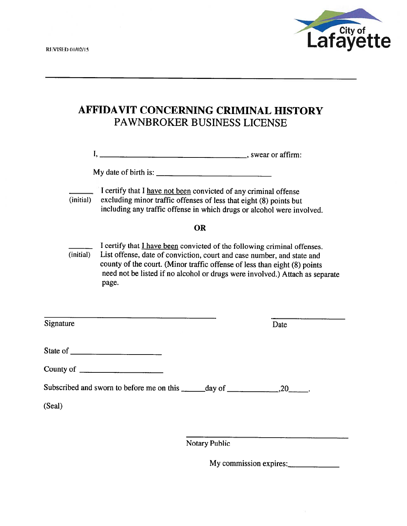

# AFFIDAVIT CONCERNING CRIMINAL HISTORY PAWNBROKER BUSINESS LICENSE

|           | My date of birth is: $\frac{1}{\frac{1}{2} \cdot \frac{1}{2} \cdot \frac{1}{2} \cdot \frac{1}{2} \cdot \frac{1}{2} \cdot \frac{1}{2} \cdot \frac{1}{2} \cdot \frac{1}{2} \cdot \frac{1}{2} \cdot \frac{1}{2} \cdot \frac{1}{2} \cdot \frac{1}{2} \cdot \frac{1}{2} \cdot \frac{1}{2} \cdot \frac{1}{2} \cdot \frac{1}{2} \cdot \frac{1}{2} \cdot \frac{1}{2} \cdot \frac{1}{2} \cdot \frac{1}{2} \cdot \frac{1}{2} \cdot \frac{1}{$ |
|-----------|-------------------------------------------------------------------------------------------------------------------------------------------------------------------------------------------------------------------------------------------------------------------------------------------------------------------------------------------------------------------------------------------------------------------------------------|
| (initial) | I certify that I have not been convicted of any criminal offense<br>excluding minor traffic offenses of less that eight (8) points but<br>including any traffic offense in which drugs or alcohol were involved.                                                                                                                                                                                                                    |
|           | OR                                                                                                                                                                                                                                                                                                                                                                                                                                  |
| $(i\nu)$  | I certify that I have been convicted of the following criminal offenses.<br>List offense, date of conviction, court and case number, and state and<br>county of the court. (Minor traffic offense of less than eight (8) points<br>need not be listed if no alcohol or drugs were involved.) Attach as separate<br>page.                                                                                                            |
| Signature | Date                                                                                                                                                                                                                                                                                                                                                                                                                                |
|           |                                                                                                                                                                                                                                                                                                                                                                                                                                     |
|           |                                                                                                                                                                                                                                                                                                                                                                                                                                     |
|           |                                                                                                                                                                                                                                                                                                                                                                                                                                     |
| (Seal)    |                                                                                                                                                                                                                                                                                                                                                                                                                                     |
|           |                                                                                                                                                                                                                                                                                                                                                                                                                                     |
|           | <b>Notary Public</b>                                                                                                                                                                                                                                                                                                                                                                                                                |

My commission expires: